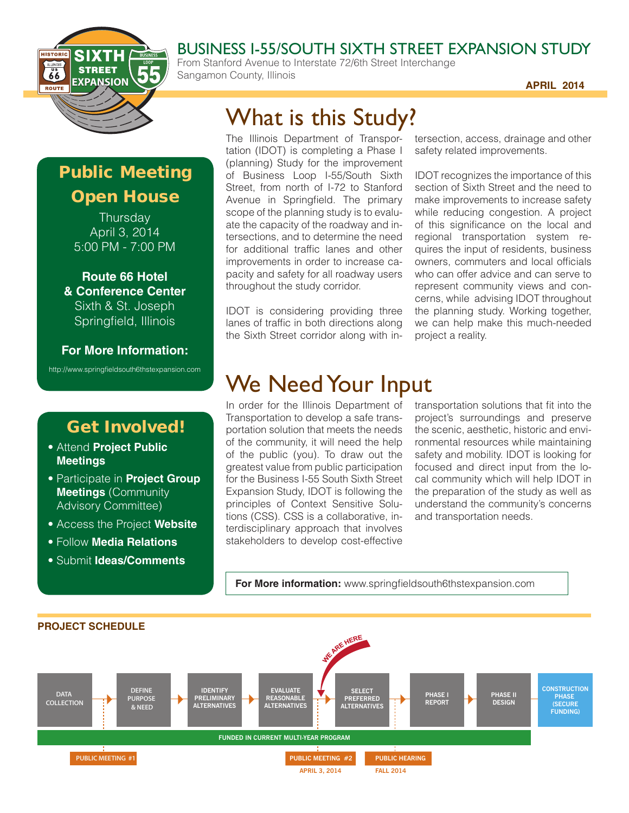

#### BUSINESS I-55/SOUTH SIXTH STREET EXPANSION STUDY

From Stanford Avenue to Interstate 72/6th Street Interchange Sangamon County, Illinois

**APRIL 2014**

## Public Meeting Open House

**Thursday** April 3, 2014 5:00 PM - 7:00 PM

**Route 66 Hotel & Conference Center** Sixth & St. Joseph Springfield, Illinois

**For More Information:**

http://www.springfieldsouth6thstexpansion.com

### Get Involved!

- Attend **Project Public Meetings**
- Participate in **Project Group Meetings** (Community Advisory Committee)
- Access the Project **Website**
- Follow **Media Relations**
- Submit **Ideas/Comments**

# What is this Study?

The Illinois Department of Transportation (IDOT) is completing a Phase I (planning) Study for the improvement of Business Loop I-55/South Sixth Street, from north of I-72 to Stanford Avenue in Springfield. The primary scope of the planning study is to evaluate the capacity of the roadway and intersections, and to determine the need for additional traffic lanes and other improvements in order to increase capacity and safety for all roadway users throughout the study corridor.

IDOT is considering providing three lanes of traffic in both directions along the Sixth Street corridor along with intersection, access, drainage and other safety related improvements.

IDOT recognizes the importance of this section of Sixth Street and the need to make improvements to increase safety while reducing congestion. A project of this significance on the local and regional transportation system requires the input of residents, business owners, commuters and local officials who can offer advice and can serve to represent community views and concerns, while advising IDOT throughout the planning study. Working together, we can help make this much-needed project a reality.

## We Need Your Input

In order for the Illinois Department of Transportation to develop a safe transportation solution that meets the needs of the community, it will need the help of the public (you). To draw out the greatest value from public participation for the Business I-55 South Sixth Street Expansion Study, IDOT is following the principles of Context Sensitive Solutions (CSS). CSS is a collaborative, interdisciplinary approach that involves stakeholders to develop cost-effective

transportation solutions that fit into the project's surroundings and preserve the scenic, aesthetic, historic and environmental resources while maintaining safety and mobility. IDOT is looking for focused and direct input from the local community which will help IDOT in the preparation of the study as well as understand the community's concerns and transportation needs.

**For More information:** www.springfieldsouth6thstexpansion.com